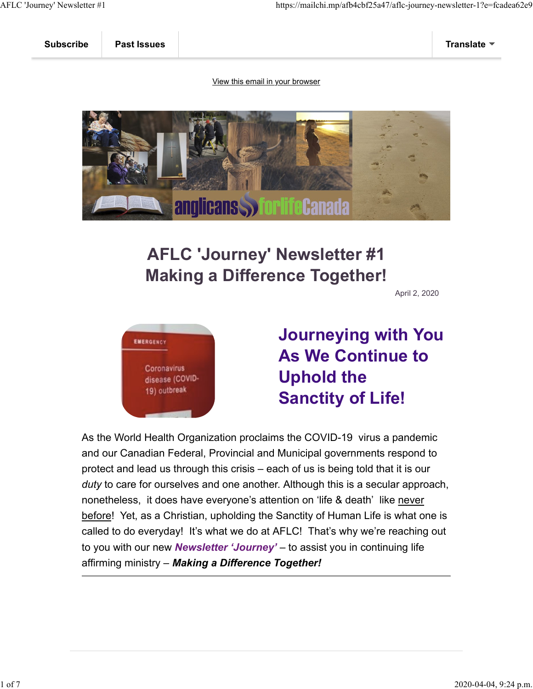| AFLC 'Journey' Newsletter #1 |                    |  |  | https://mailchi.mp/afb4cbf25a47/aflc-journey-newsletter-1?e=fcadea62e9 |  |
|------------------------------|--------------------|--|--|------------------------------------------------------------------------|--|
|                              |                    |  |  |                                                                        |  |
| <b>Subscribe</b>             | <b>Past Issues</b> |  |  | Translate $\sqrt{*}$                                                   |  |
|                              |                    |  |  |                                                                        |  |

View this email in your browser



AFLC 'Journey' Newsletter #1 Making a Difference Together!

April 2, 2020



# Journeying with You As We Continue to Uphold the Sanctity of Life!

As the World Health Organization proclaims the COVID-19 virus a pandemic and our Canadian Federal, Provincial and Municipal governments respond to protect and lead us through this crisis – each of us is being told that it is our duty to care for ourselves and one another. Although this is a secular approach, nonetheless, it does have everyone's attention on 'life & death' like never before! Yet, as a Christian, upholding the Sanctity of Human Life is what one is called to do everyday! It's what we do at AFLC! That's why we're reaching out to you with our new **Newsletter 'Journey'** – to assist you in continuing life affirming ministry - Making a Difference Together!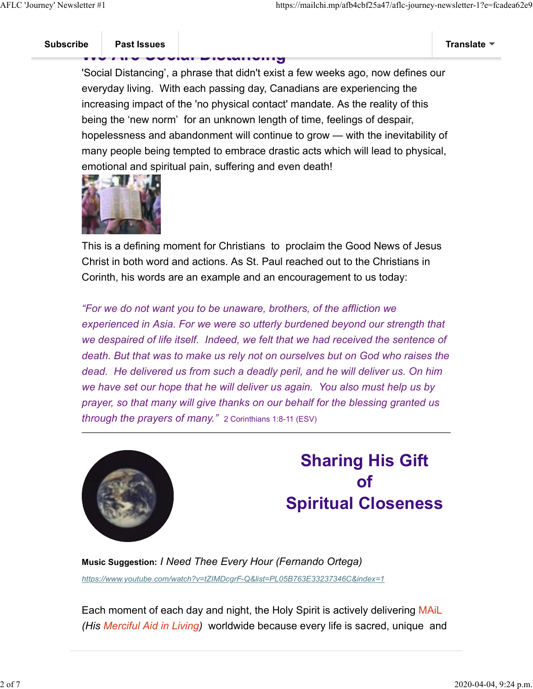

 $\frac{1}{\sqrt{2}}$ 

### Subscribe Past Issues Translate  $\blacktriangledown$

'Social Distancing', a phrase that didn't exist a few weeks ago, now defines our everyday living. With each passing day, Canadians are experiencing the increasing impact of the 'no physical contact' mandate. As the reality of this being the 'new norm' for an unknown length of time, feelings of despair, hopelessness and abandonment will continue to grow — with the inevitability of many people being tempted to embrace drastic acts which will lead to physical, emotional and spiritual pain, suffering and even death!



This is a defining moment for Christians to proclaim the Good News of Jesus Christ in both word and actions. As St. Paul reached out to the Christians in Corinth, his words are an example and an encouragement to us today:

"For we do not want you to be unaware, brothers, of the affliction we experienced in Asia. For we were so utterly burdened beyond our strength that we despaired of life itself. Indeed, we felt that we had received the sentence of death. But that was to make us rely not on ourselves but on God who raises the dead. He delivered us from such a deadly peril, and he will deliver us. On him we have set our hope that he will deliver us again. You also must help us by prayer, so that many will give thanks on our behalf for the blessing granted us through the prayers of many." 2 Corinthians 1:8-11 (ESV)



# Sharing His Gift of Spiritual Closeness

Music Suggestion: I Need Thee Every Hour (Fernando Ortega) https://www.youtube.com/watch?v=tZIMDcgrF-Q&list=PL05B763E33237346C&index=1

Each moment of each day and night, the Holy Spirit is actively delivering MAiL (His Merciful Aid in Living) worldwide because every life is sacred, unique and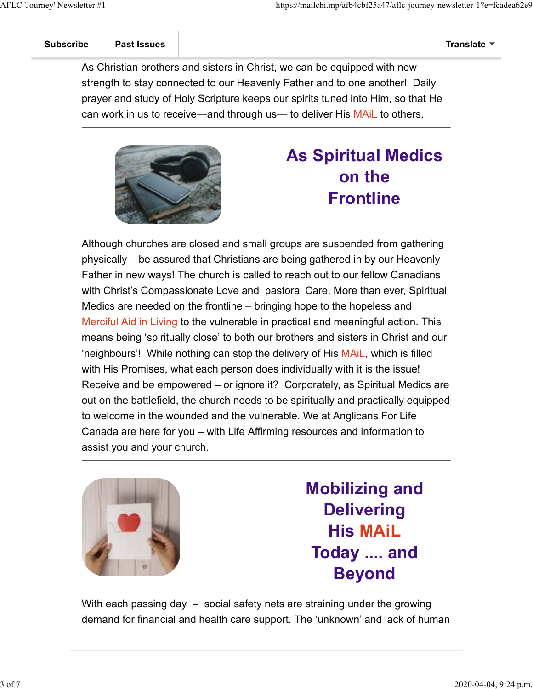$\overline{\phantom{a}}$  almostoc. Subscribe Past Issues Translate  $\blacktriangledown$ 

As Christian brothers and sisters in Christ, we can be equipped with new strength to stay connected to our Heavenly Father and to one another! Daily prayer and study of Holy Scripture keeps our spirits tuned into Him, so that He can work in us to receive—and through us— to deliver His MAIL to others.



# As Spiritual Medics on the **Frontline**

Although churches are closed and small groups are suspended from gathering physically – be assured that Christians are being gathered in by our Heavenly Father in new ways! The church is called to reach out to our fellow Canadians with Christ's Compassionate Love and pastoral Care. More than ever, Spiritual Medics are needed on the frontline – bringing hope to the hopeless and Merciful Aid in Living to the vulnerable in practical and meaningful action. This means being 'spiritually close' to both our brothers and sisters in Christ and our 'neighbours'! While nothing can stop the delivery of His MAiL, which is filled with His Promises, what each person does individually with it is the issue! Receive and be empowered – or ignore it? Corporately, as Spiritual Medics are out on the battlefield, the church needs to be spiritually and practically equipped to welcome in the wounded and the vulnerable. We at Anglicans For Life Canada are here for you – with Life Affirming resources and information to assist you and your church.



Mobilizing and **Delivering** His MAiL Today .... and Beyond

With each passing day – social safety nets are straining under the growing demand for financial and health care support. The 'unknown' and lack of human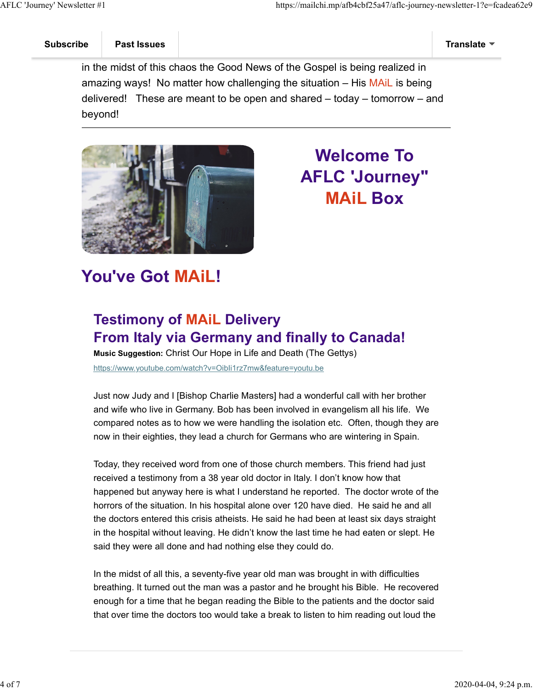control shakes and challenges every belief system – secular and religious. Yet, it is not seen and religious. Subscribe Past Issues Translate  $\blacktriangledown$ 

in the midst of this chaos the Good News of the Gospel is being realized in amazing ways! No matter how challenging the situation – His MAiL is being delivered! These are meant to be open and shared – today – tomorrow – and beyond!



Welcome To AFLC 'Journey" MAiL Box

## You've Got MAiL!

## Testimony of MAiL Delivery From Italy via Germany and finally to Canada!

Music Suggestion: Christ Our Hope in Life and Death (The Gettys)

https://www.youtube.com/watch?v=OibIi1rz7mw&feature=youtu.be

Just now Judy and I [Bishop Charlie Masters] had a wonderful call with her brother and wife who live in Germany. Bob has been involved in evangelism all his life. We compared notes as to how we were handling the isolation etc. Often, though they are now in their eighties, they lead a church for Germans who are wintering in Spain.

Today, they received word from one of those church members. This friend had just received a testimony from a 38 year old doctor in Italy. I don't know how that happened but anyway here is what I understand he reported. The doctor wrote of the horrors of the situation. In his hospital alone over 120 have died. He said he and all the doctors entered this crisis atheists. He said he had been at least six days straight in the hospital without leaving. He didn't know the last time he had eaten or slept. He said they were all done and had nothing else they could do.

In the midst of all this, a seventy-five year old man was brought in with difficulties breathing. It turned out the man was a pastor and he brought his Bible. He recovered enough for a time that he began reading the Bible to the patients and the doctor said that over time the doctors too would take a break to listen to him reading out loud the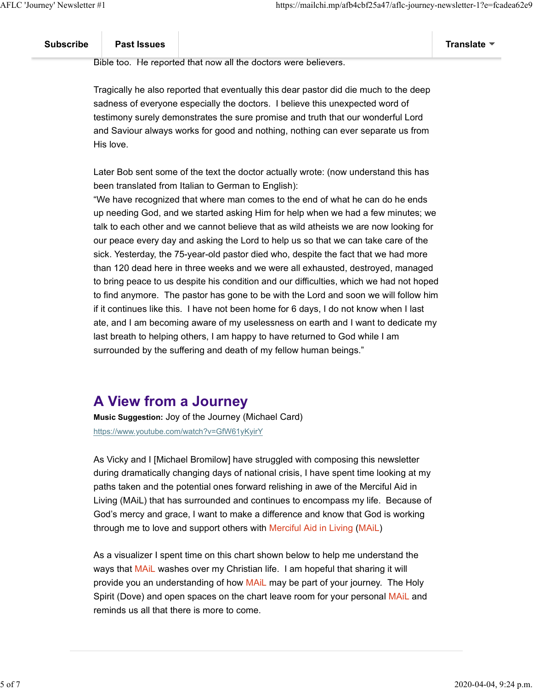| <b>Subscribe</b> |  |
|------------------|--|
|                  |  |

#### Subscribe Past Issues Translate  $\blacktriangledown$

Bible too. He reported that now all the doctors were believers.

Tragically he also reported that eventually this dear pastor did die much to the deep sadness of everyone especially the doctors. I believe this unexpected word of testimony surely demonstrates the sure promise and truth that our wonderful Lord and Saviour always works for good and nothing, nothing can ever separate us from His love.

Later Bob sent some of the text the doctor actually wrote: (now understand this has been translated from Italian to German to English):

"We have recognized that where man comes to the end of what he can do he ends up needing God, and we started asking Him for help when we had a few minutes; we talk to each other and we cannot believe that as wild atheists we are now looking for our peace every day and asking the Lord to help us so that we can take care of the sick. Yesterday, the 75-year-old pastor died who, despite the fact that we had more than 120 dead here in three weeks and we were all exhausted, destroyed, managed to bring peace to us despite his condition and our difficulties, which we had not hoped to find anymore. The pastor has gone to be with the Lord and soon we will follow him if it continues like this. I have not been home for 6 days, I do not know when I last ate, and I am becoming aware of my uselessness on earth and I want to dedicate my last breath to helping others, I am happy to have returned to God while I am surrounded by the suffering and death of my fellow human beings."

### A View from a Journey

Music Suggestion: Joy of the Journey (Michael Card) https://www.youtube.com/watch?v=GfW61yKyirY

As Vicky and I [Michael Bromilow] have struggled with composing this newsletter during dramatically changing days of national crisis, I have spent time looking at my paths taken and the potential ones forward relishing in awe of the Merciful Aid in Living (MAiL) that has surrounded and continues to encompass my life. Because of God's mercy and grace, I want to make a difference and know that God is working through me to love and support others with Merciful Aid in Living (MAiL)

As a visualizer I spent time on this chart shown below to help me understand the ways that MAIL washes over my Christian life. I am hopeful that sharing it will provide you an understanding of how MAIL may be part of your journey. The Holy Spirit (Dove) and open spaces on the chart leave room for your personal MAIL and reminds us all that there is more to come.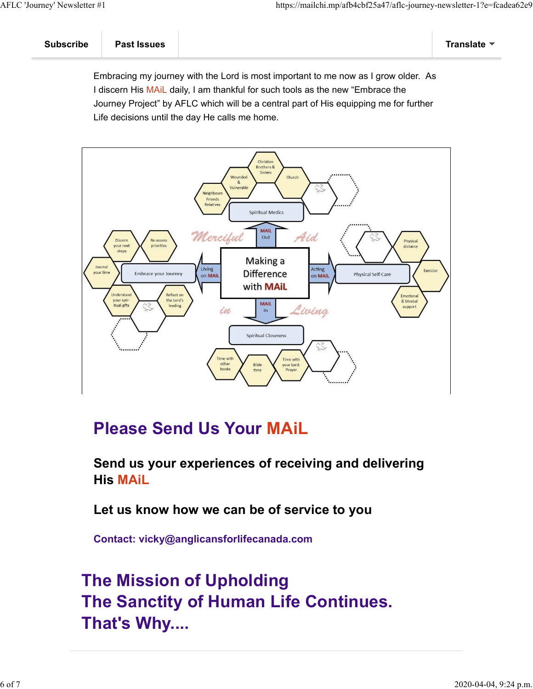| AFLC 'Journey' Newsletter #1 |                    |  |  | https://mailchi.mp/afb4cbf25a47/aflc-journey-newsletter-1?e=fcadea62e9 |  |
|------------------------------|--------------------|--|--|------------------------------------------------------------------------|--|
|                              |                    |  |  |                                                                        |  |
| <b>Subscribe</b>             | <b>Past Issues</b> |  |  | Translate $\sqrt{*}$                                                   |  |
|                              |                    |  |  |                                                                        |  |

Embracing my journey with the Lord is most important to me now as I grow older. As I discern His MAIL daily, I am thankful for such tools as the new "Embrace the Journey Project" by AFLC which will be a central part of His equipping me for further Life decisions until the day He calls me home.



## Please Send Us Your MAiL

Send us your experiences of receiving and delivering His MAiL

Let us know how we can be of service to you

Contact: vicky@anglicansforlifecanada.com

The Mission of Upholding The Sanctity of Human Life Continues. That's Why....